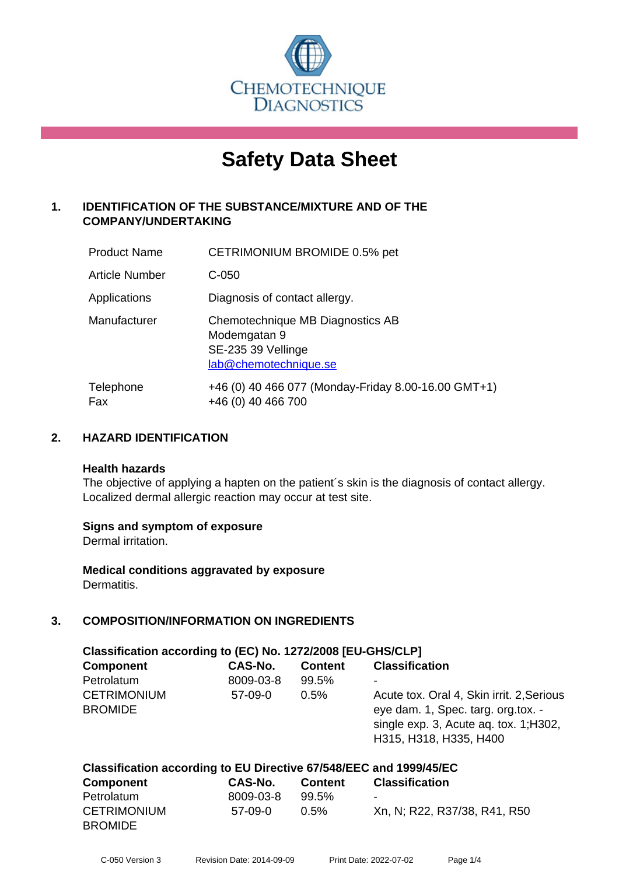

# **Safety Data Sheet**

# **1. IDENTIFICATION OF THE SUBSTANCE/MIXTURE AND OF THE COMPANY/UNDERTAKING**

| <b>Product Name</b>   | CETRIMONIUM BROMIDE 0.5% pet                                                                    |
|-----------------------|-------------------------------------------------------------------------------------------------|
| <b>Article Number</b> | $C-050$                                                                                         |
| Applications          | Diagnosis of contact allergy.                                                                   |
| Manufacturer          | Chemotechnique MB Diagnostics AB<br>Modemgatan 9<br>SE-235 39 Vellinge<br>lab@chemotechnique.se |
| Telephone<br>Fax      | +46 (0) 40 466 077 (Monday-Friday 8.00-16.00 GMT+1)<br>+46 (0) 40 466 700                       |

## **2. HAZARD IDENTIFICATION**

#### **Health hazards**

The objective of applying a hapten on the patient's skin is the diagnosis of contact allergy. Localized dermal allergic reaction may occur at test site.

#### **Signs and symptom of exposure**

Dermal irritation.

**Medical conditions aggravated by exposure** Dermatitis.

# **3. COMPOSITION/INFORMATION ON INGREDIENTS**

| Classification according to (EC) No. 1272/2008 [EU-GHS/CLP]        |           |                |                                                                                                                                                     |  |  |
|--------------------------------------------------------------------|-----------|----------------|-----------------------------------------------------------------------------------------------------------------------------------------------------|--|--|
| <b>Component</b>                                                   | CAS-No.   | <b>Content</b> | <b>Classification</b>                                                                                                                               |  |  |
| Petrolatum                                                         | 8009-03-8 | 99.5%          |                                                                                                                                                     |  |  |
| <b>CETRIMONIUM</b><br><b>BROMIDE</b>                               | $57-09-0$ | 0.5%           | Acute tox. Oral 4, Skin irrit. 2, Serious<br>eye dam. 1, Spec. targ. org.tox. -<br>single exp. 3, Acute aq. tox. 1; H302,<br>H315, H318, H335, H400 |  |  |
| Classification according to EU Directive 67/548/EEC and 1999/45/EC |           |                |                                                                                                                                                     |  |  |

| <b>Component</b>                     | CAS-No.   | <b>Content</b> | <b>Classification</b>        |
|--------------------------------------|-----------|----------------|------------------------------|
| Petrolatum                           | 8009-03-8 | 99.5%          | $\blacksquare$               |
| <b>CETRIMONIUM</b><br><b>BROMIDE</b> | 57-09-0   | $0.5\%$        | Xn, N; R22, R37/38, R41, R50 |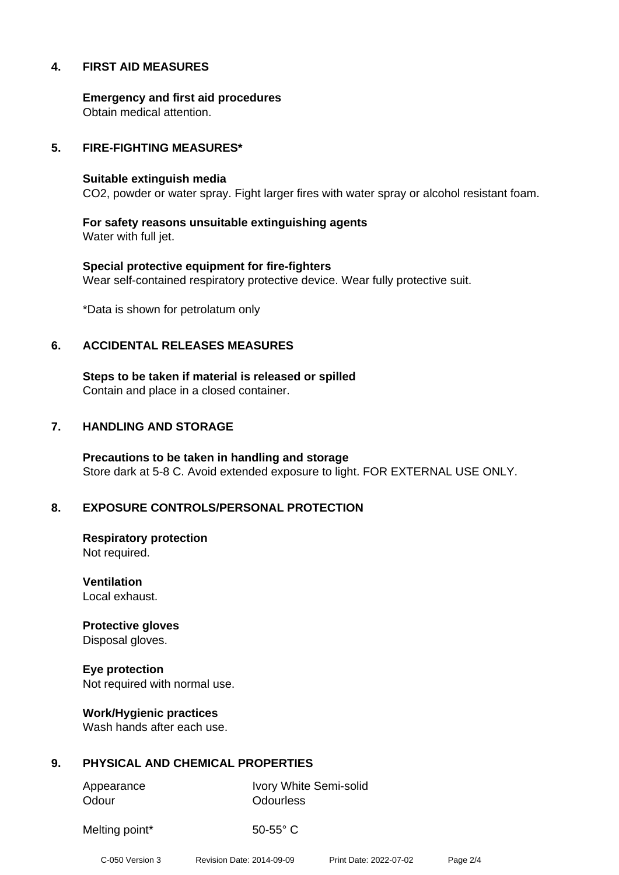#### **4. FIRST AID MEASURES**

**Emergency and first aid procedures** Obtain medical attention.

#### **5. FIRE-FIGHTING MEASURES\***

#### **Suitable extinguish media**

CO2, powder or water spray. Fight larger fires with water spray or alcohol resistant foam.

**For safety reasons unsuitable extinguishing agents** Water with full jet.

**Special protective equipment for fire-fighters** Wear self-contained respiratory protective device. Wear fully protective suit.

\*Data is shown for petrolatum only

#### **6. ACCIDENTAL RELEASES MEASURES**

**Steps to be taken if material is released or spilled** Contain and place in a closed container.

#### **7. HANDLING AND STORAGE**

**Precautions to be taken in handling and storage** Store dark at 5-8 C. Avoid extended exposure to light. FOR EXTERNAL USE ONLY.

#### **8. EXPOSURE CONTROLS/PERSONAL PROTECTION**

**Respiratory protection** Not required.

**Ventilation** Local exhaust.

**Protective gloves** Disposal gloves.

**Eye protection** Not required with normal use.

**Work/Hygienic practices** Wash hands after each use.

#### **9. PHYSICAL AND CHEMICAL PROPERTIES**

Odour **Odourless** 

Appearance Ivory White Semi-solid

Melting point\* 50-55° C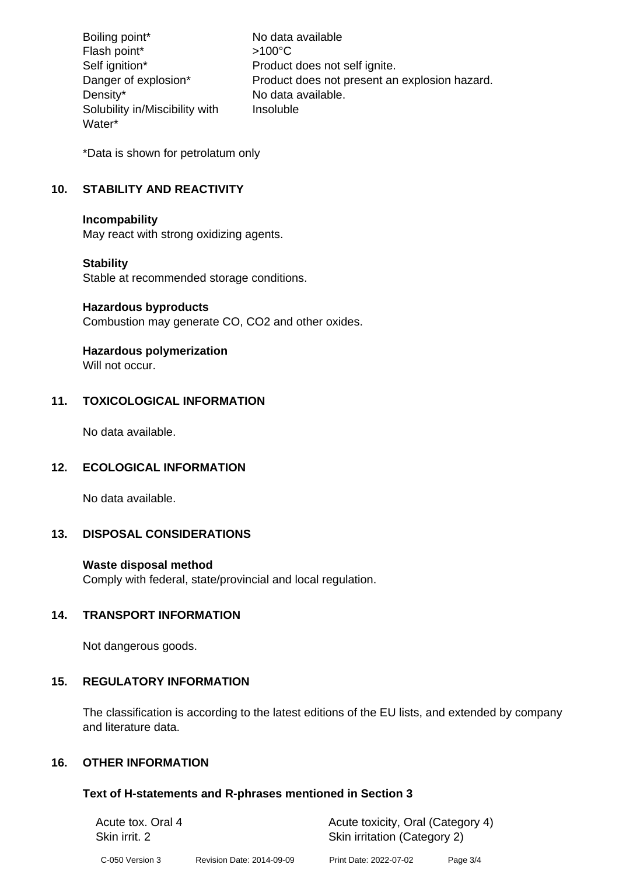Boiling point\* No data available Flash point\*  $>100^{\circ}$ C Self ignition\* Product does not self ignite. Danger of explosion\* Product does not present an explosion hazard. Density\* No data available. Solubility in/Miscibility with Water\* Insoluble

\*Data is shown for petrolatum only

# **10. STABILITY AND REACTIVITY**

#### **Incompability**

May react with strong oxidizing agents.

#### **Stability**

Stable at recommended storage conditions.

#### **Hazardous byproducts**

Combustion may generate CO, CO2 and other oxides.

# **Hazardous polymerization**

Will not occur.

#### **11. TOXICOLOGICAL INFORMATION**

No data available.

#### **12. ECOLOGICAL INFORMATION**

No data available.

#### **13. DISPOSAL CONSIDERATIONS**

#### **Waste disposal method**

Comply with federal, state/provincial and local regulation.

#### **14. TRANSPORT INFORMATION**

Not dangerous goods.

#### **15. REGULATORY INFORMATION**

The classification is according to the latest editions of the EU lists, and extended by company and literature data.

## **16. OTHER INFORMATION**

#### **Text of H-statements and R-phrases mentioned in Section 3**

| Acute tox. Oral 4 |                           | Acute toxicity, Oral (Category 4) |          |  |
|-------------------|---------------------------|-----------------------------------|----------|--|
| Skin irrit. 2     |                           | Skin irritation (Category 2)      |          |  |
| C-050 Version 3   | Revision Date: 2014-09-09 | Print Date: 2022-07-02            | Page 3/4 |  |